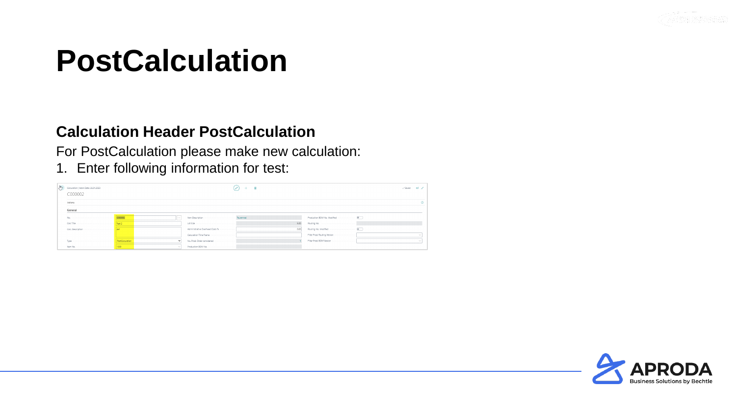

#### **Calculation Header PostCalculation**

For PostCalculation please make new calculation:

1. Enter following information for test:

| $\frac{1}{2}$ | Calculation   Work Date: 26.01.2023<br>C000002 |                         |                                 |      |                              | Saved ET 2 |  |
|---------------|------------------------------------------------|-------------------------|---------------------------------|------|------------------------------|------------|--|
|               | Actions                                        |                         |                                 |      |                              |            |  |
|               | General                                        |                         |                                 |      |                              |            |  |
|               | No.                                            | C000002<br><b>ALC 1</b> |                                 |      |                              |            |  |
|               |                                                |                         |                                 | 5.00 |                              |            |  |
|               |                                                |                         | Administrative Overhead Costs % | 0.00 |                              |            |  |
|               |                                                |                         | Calculation Time Frame          |      | Filter Prod. Routing Version |            |  |
|               | Type                                           |                         |                                 |      | Filter Prod. BOM Version     |            |  |
|               |                                                |                         |                                 |      |                              |            |  |

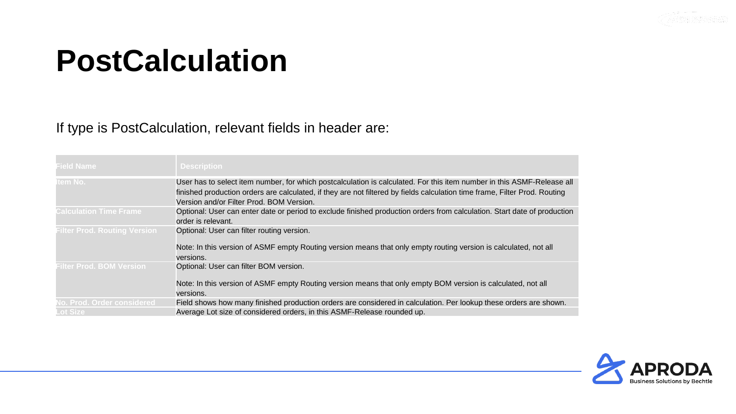

#### If type is PostCalculation, relevant fields in header are:

| <b>Field Name</b>                             | <b>Description</b>                                                                                                                                                                                                                                                                               |
|-----------------------------------------------|--------------------------------------------------------------------------------------------------------------------------------------------------------------------------------------------------------------------------------------------------------------------------------------------------|
| <b>Item No.</b>                               | User has to select item number, for which postcalculation is calculated. For this item number in this ASMF-Release all<br>finished production orders are calculated, if they are not filtered by fields calculation time frame, Filter Prod. Routing<br>Version and/or Filter Prod. BOM Version. |
| <b>Calculation Time Frame</b>                 | Optional: User can enter date or period to exclude finished production orders from calculation. Start date of production<br>order is relevant.                                                                                                                                                   |
| <b>Filter Prod. Routing Version</b>           | Optional: User can filter routing version.<br>Note: In this version of ASMF empty Routing version means that only empty routing version is calculated, not all<br>versions.                                                                                                                      |
| <b>Filter Prod. BOM Version</b>               | Optional: User can filter BOM version.<br>Note: In this version of ASMF empty Routing version means that only empty BOM version is calculated, not all<br>versions.                                                                                                                              |
| No. Prod. Order considered<br><b>Lot Size</b> | Field shows how many finished production orders are considered in calculation. Per lookup these orders are shown.<br>Average Lot size of considered orders, in this ASMF-Release rounded up.                                                                                                     |

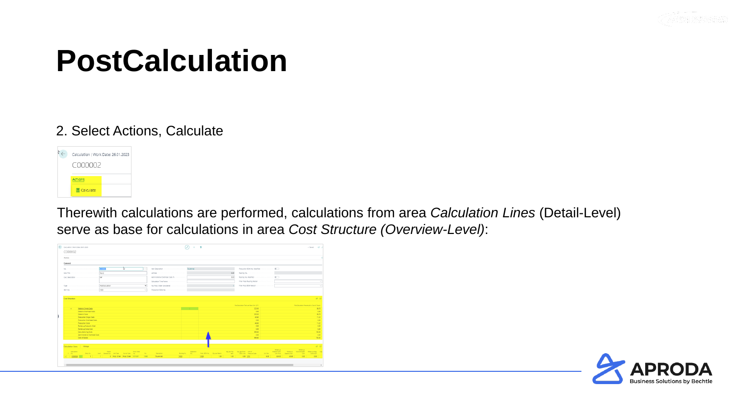

#### 2. Select Actions, Calculate



Therewith calculations are performed, calculations from area *Calculation Lines* (Detail-Level) serve as base for calculations in area *Cost Structure (Overview-Level)*:

|                                                              |                         |                                                |                    |      |                                                                                                                            |                  |         |                              |                 |                                                          |                                                                                                                                     |                                                      |                          |                                       | $\sqrt{2}$ mind<br><b>C</b>                                             |
|--------------------------------------------------------------|-------------------------|------------------------------------------------|--------------------|------|----------------------------------------------------------------------------------------------------------------------------|------------------|---------|------------------------------|-----------------|----------------------------------------------------------|-------------------------------------------------------------------------------------------------------------------------------------|------------------------------------------------------|--------------------------|---------------------------------------|-------------------------------------------------------------------------|
|                                                              |                         |                                                |                    |      |                                                                                                                            |                  |         |                              |                 |                                                          |                                                                                                                                     |                                                      |                          |                                       |                                                                         |
|                                                              |                         |                                                |                    |      |                                                                                                                            |                  |         |                              |                 |                                                          |                                                                                                                                     |                                                      |                          |                                       |                                                                         |
| <b>COOTE</b>                                                 |                         |                                                |                    |      |                                                                                                                            |                  |         |                              |                 |                                                          |                                                                                                                                     |                                                      |                          |                                       |                                                                         |
| Test 2                                                       |                         |                                                |                    |      |                                                                                                                            |                  |         | 500                          |                 |                                                          |                                                                                                                                     |                                                      |                          |                                       |                                                                         |
| def                                                          |                         |                                                |                    |      |                                                                                                                            |                  |         | 0.00                         |                 |                                                          |                                                                                                                                     |                                                      |                          |                                       |                                                                         |
|                                                              |                         |                                                |                    |      |                                                                                                                            |                  |         |                              |                 |                                                          |                                                                                                                                     |                                                      |                          |                                       |                                                                         |
|                                                              |                         | $\checkmark$                                   |                    |      |                                                                                                                            |                  |         |                              |                 |                                                          |                                                                                                                                     |                                                      |                          |                                       |                                                                         |
|                                                              |                         | $\sim$                                         |                    |      |                                                                                                                            |                  |         |                              |                 |                                                          |                                                                                                                                     |                                                      |                          |                                       |                                                                         |
|                                                              |                         |                                                |                    |      |                                                                                                                            |                  |         |                              |                 |                                                          |                                                                                                                                     |                                                      |                          |                                       |                                                                         |
|                                                              |                         |                                                |                    |      |                                                                                                                            |                  |         |                              |                 | 0.00<br>323.00<br>40.50<br>0.00<br>40.00<br>0.00<br>0.00 |                                                                                                                                     |                                                      |                          |                                       |                                                                         |
| Administrative Overhead Costs                                |                         |                                                |                    |      |                                                                                                                            |                  |         |                              |                 |                                                          |                                                                                                                                     |                                                      |                          |                                       | 100.00                                                                  |
|                                                              |                         |                                                |                    |      |                                                                                                                            |                  |         |                              |                 | 363.80                                                   |                                                                                                                                     |                                                      |                          |                                       | 100.00                                                                  |
| <b>Parent</b>                                                |                         | 760.                                           | Description :      | 1000 | Operation                                                                                                                  | 5000             | 1,00    | 1.00                         | <b>O.DO STK</b> |                                                          | Lon Sine<br>5.00                                                                                                                    | Rolled-Lib<br>Material Costs<br>Unit Price<br>323.00 | Capachy Cost<br>43.60    | Railed-up<br>Com <sup>-</sup><br>0.00 | 18 53<br>Aded-up Mfg. Cap.<br>Dind Cort<br>0.00                         |
| 0 Prod. Order Prod. Order 1011001<br><b>Carl Corporation</b> |                         | 1000                                           | Tourenrad          |      |                                                                                                                            |                  |         |                              |                 |                                                          |                                                                                                                                     |                                                      |                          |                                       |                                                                         |
|                                                              | PostCalculation<br>1000 | চ<br>Lovel Demand No. Una Type Source Type No. | <b>Prod. Order</b> |      | Lot Size (processors) continued a construction of the control<br>Administrative Overhead Costs %<br>Calculation Time Frame | Routing No. 195. | $+$ $R$ | Fred, BOM No. Otr, ow Parent |                 | <b>Bondard Company</b>                                   | Portfalo/atton Total per Base Unit (LCT)<br>323.00<br>363.80<br>0.00<br>Once for Once Prod. Unit of<br><b>DOM Line Measure Code</b> |                                                      | Filter Prod. BOM Version |                                       | PortCalculation Percentual to Cost of Coods<br>Activities Subcontracted |

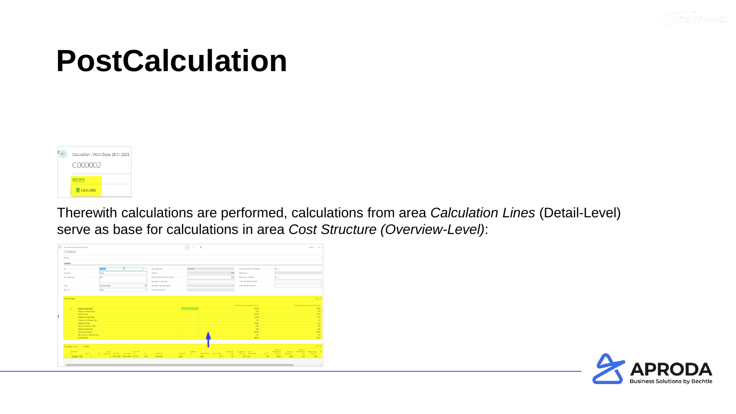



Therewith calculations are performed, calculations from area *Calculation Lines* (Detail-Level) serve as base for calculations in area *Cost Structure (Overview-Level)*:

| Calculation   Work Date: 26.01.2023<br>C000002            |                                            |                    |                                                     |                  |                          |                                |      |                                           |                            |                                                        | $\sqrt{2}$ mind<br><b>CT</b> |
|-----------------------------------------------------------|--------------------------------------------|--------------------|-----------------------------------------------------|------------------|--------------------------|--------------------------------|------|-------------------------------------------|----------------------------|--------------------------------------------------------|------------------------------|
| <b>Actions</b>                                            |                                            |                    |                                                     |                  |                          |                                |      |                                           |                            |                                                        |                              |
| General                                                   |                                            |                    |                                                     |                  |                          |                                |      |                                           |                            |                                                        |                              |
| No. 19 years to an experience of the contract of the con- | চ<br>commo                                 |                    |                                                     |                  |                          |                                |      |                                           |                            |                                                        |                              |
|                                                           |                                            |                    | Lot Size concerned a construction of the control of |                  |                          |                                | 500  |                                           |                            |                                                        |                              |
|                                                           |                                            |                    | Administrative Overhead Costs %                     |                  |                          |                                | 0.00 |                                           |                            |                                                        |                              |
|                                                           |                                            |                    |                                                     |                  |                          |                                |      |                                           |                            |                                                        |                              |
| Type concerned continuous continuous postCalculation      |                                            |                    |                                                     |                  |                          |                                |      | Filter Prod. BOM Version                  |                            |                                                        |                              |
|                                                           |                                            | $\sim$             |                                                     |                  |                          |                                |      |                                           |                            |                                                        |                              |
|                                                           |                                            |                    |                                                     |                  |                          |                                |      |                                           |                            |                                                        |                              |
| Cost Structure                                            |                                            |                    |                                                     |                  |                          |                                |      |                                           |                            |                                                        | R                            |
|                                                           |                                            |                    |                                                     |                  |                          |                                |      | PortCalculation Total per Base Unit (LCT) |                            | PortCalculation Percentual to Cost of Coods            |                              |
| Material Single Costs<br><b>SALE</b>                      |                                            |                    |                                                     |                  | <b>Contract Contract</b> |                                |      | 323.00                                    |                            |                                                        | 66.78                        |
| Material Overhead Costs                                   |                                            |                    |                                                     |                  |                          |                                |      | 0.00                                      |                            |                                                        | 0.00                         |
| Material Costs                                            |                                            |                    |                                                     |                  |                          |                                |      | 323.00                                    |                            |                                                        | 55.75                        |
| Production Single Costs                                   |                                            |                    |                                                     |                  |                          |                                |      | 40.50                                     |                            |                                                        | 11.22                        |
| Production Overhead Costs                                 |                                            |                    |                                                     |                  |                          |                                |      | 0.00                                      |                            |                                                        | 0.00                         |
| <b>Production Costs</b>                                   |                                            |                    |                                                     |                  |                          |                                |      | 40.00                                     |                            |                                                        | 11.22                        |
|                                                           |                                            |                    |                                                     |                  |                          |                                |      | 0.00                                      |                            |                                                        | 0.00                         |
| Rolled-up Subcorty, Cost                                  |                                            |                    |                                                     |                  |                          |                                |      |                                           |                            |                                                        |                              |
| Rolled-up Scrap Cost                                      |                                            |                    |                                                     |                  |                          |                                |      | 0.00                                      |                            |                                                        |                              |
| Manufacturing Costs                                       |                                            |                    |                                                     |                  |                          |                                |      | 363.80                                    |                            |                                                        | 0.00<br>100.00               |
| Administrative Overhead Costs                             |                                            |                    |                                                     |                  |                          |                                |      | 0.00                                      |                            |                                                        |                              |
| Cost of Goods                                             |                                            |                    |                                                     |                  |                          |                                |      | 363.80                                    |                            |                                                        |                              |
|                                                           |                                            |                    |                                                     |                  |                          |                                |      |                                           |                            |                                                        |                              |
| Calculation Lines   Manage                                |                                            |                    |                                                     |                  |                          |                                |      |                                           |                            |                                                        | 0.00<br>100.00<br>18 10      |
| Calculation                                               | Parent.                                    | <b>Prod. Order</b> |                                                     |                  | Operation                |                                |      | Otysper Top City: per Prod. Unit of       | Roled-Up<br>Material Costs | Railed-up<br>Antes-up Subcontracted Antes-up-Mfs. Cap- |                              |
| Entry No.<br>16 No. 1                                     | Level Demant No. Live Type Source Type No. | 760.               | Description :                                       | Routing No. 195. |                          | Fred, BOM No. Otr. over Parent |      | Hern BOM Line Measure Code                | Lot Site<br>Unit Price     | Capacity Cost<br>Com <sup>-1</sup>                     |                              |
| > 600002                                                  | 1 0 Prod. Order Prod. Order 1011001        | 1000               | Tourenrad                                           | 1900             | 5000                     | 1,00                           | 1.00 | <b>O.DO STK</b>                           | 5.00<br>323.00             | 0.00<br>40.00                                          | Diltd Cort<br>0.00           |
|                                                           |                                            |                    |                                                     |                  |                          |                                |      |                                           |                            |                                                        |                              |

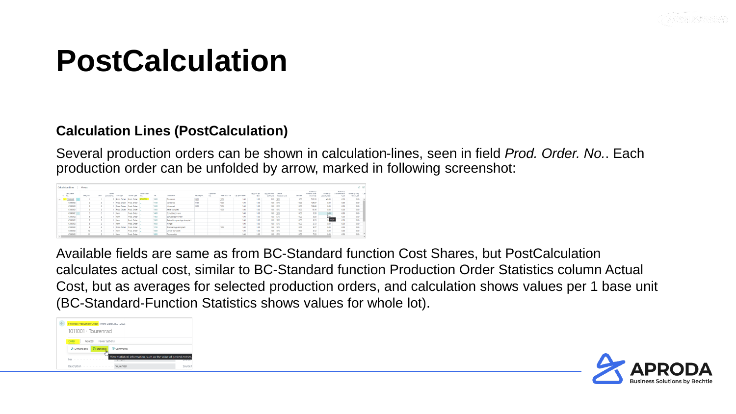

#### **Calculation Lines (PostCalculation)**

Several production orders can be shown in calculation-lines, seen in field *Prod. Order. No.*. Each production order can be unfolded by arrow, marked in following screenshot:

| Calculation Lines Manage |                          |       |                       |             |                         |                   |      |                             |             |                  |               |                 |                             |                            |                         |          |                                           |                            |                                    | ピロ                           |                          |
|--------------------------|--------------------------|-------|-----------------------|-------------|-------------------------|-------------------|------|-----------------------------|-------------|------------------|---------------|-----------------|-----------------------------|----------------------------|-------------------------|----------|-------------------------------------------|----------------------------|------------------------------------|------------------------------|--------------------------|
| Calculation<br>No.       | Entry No.                | Level | Parent<br>Rigmant No. | Line Type   | Source Type             | Prod. Order<br>No | No.  | Description                 | Routing No. | Coeration<br>No. | Pred. BOM No. | Otri per Parent | Ohr. per Top<br><b>Isam</b> | Ohr, per Prod.<br>SOM Line | Unit of<br>Maasure Code | Lot Sipe | Rolled-up<br>Material Costs<br>Unit Price | Rolled-up<br>Capacity Cost | Rolled-up<br>Subcontracted<br>Cost | Rolled-up Mfg.<br>Ovind Cost | $^{<}$                   |
| C000002                  |                          |       |                       | Prod. Order | Prod. Order             | 1001              | 1000 | Tourenrad                   | 1002        |                  | 1999          | 1.00            | 1.00                        | 0.00 STK                   |                         | 5.00     | 323.00                                    | 40.80                      | 0.00                               | 0.00                         |                          |
| C000002                  | $\sim$                   |       |                       |             | Prod. Order Prod. Order |                   | 1100 | Vorderrad                   | 1100        |                  | 1000          | 1.00            | 1.00                        | 1.00 STK                   |                         | 10.00    | 129.67                                    | 0.00                       | 0.00                               | 0.00                         |                          |
| C000002                  |                          |       |                       | Prod. Order | Prod. Crder             |                   | 1200 | Hinterrad                   | 1200        |                  | 1000          | 1.00            | 1.00                        | 1.00 STK                   |                         | 10.00    | 129.68                                    | 0.00                       | 0.00                               | 0.00                         |                          |
| C000002                  | ٠                        |       |                       | Prod. Order | Prod. Order             |                   | 1300 | Kette komplett              |             |                  | 1000          | 1.00            | 1,00                        | 1.00 STK                   |                         | 10.00    | 13.16                                     | 0.00                       | 0.00                               | 0.00                         |                          |
| C000002                  |                          |       |                       | <b>Hem</b>  | Prod. Order             |                   | 1400 | Schutzblech vom             |             |                  |               | 1.00            | 1.00                        | 1.00 STK                   |                         | 10.00    | 3.90                                      | 0.00                       | 0.00                               | 0.001                        |                          |
| C000002                  |                          |       |                       | <b>Hem</b>  | Prod. Crider            |                   | 1450 | Schutzblech hinten          |             |                  |               | 1.00            | 1.00                        | 1.00 STK                   |                         | 10.00    | 3.90                                      | <b>Can</b>                 | 0.00                               | 0.00                         |                          |
| C000002                  | $\overline{\phantom{a}}$ |       |                       | <b>Bem</b>  | Prod. Order             |                   | 1500 | Beleuchtungsanlage komplett |             |                  |               | 1.00            | 1.00                        | 1.00 STK                   |                         | 10.00    | 5.20                                      | $\sqrt{0.00}$              | 0.00                               | 0.00                         |                          |
| C000002                  |                          |       |                       | <b>Hem</b>  | Prod. Crder             |                   | 1600 | Kilngel                     |             |                  |               | 1.00            | 1.00                        | 1.00 STK                   |                         | 10.00    | 2.70                                      | 0.00                       | 0.00                               | 0.00                         |                          |
| C000002                  |                          |       |                       | Prod. Order | Prod. Order             |                   | 1700 | Bremsanlage komplett        |             |                  | 1000          | 1.00            | 1,00                        | 1.00 STK                   |                         | 10.00    | 9.77                                      | 0.00                       | 0.00                               | 0.00                         |                          |
| C000002                  | 10                       |       |                       | hem         | Prod. Order             |                   | 1800 | Lenker komplett             |             |                  |               | 1.00            | 1.00                        | 1.00 STK                   |                         | 10.00    | 2.12                                      | 0.00                       | 0.00                               | 0.001                        |                          |
| C000002                  | 11                       |       |                       | <b>Item</b> | Prod. Crder             |                   | 1850 | Tourensattel                |             |                  |               | 1.00            | 1.00                        | 1.00 STK                   |                         | 10.00    | 7.20                                      | 0.00                       | 0.00                               | 0.00                         | $\overline{\phantom{a}}$ |

Available fields are same as from BC-Standard function Cost Shares, but PostCalculation calculates actual cost, similar to BC-Standard function Production Order Statistics column Actual Cost, but as averages for selected production orders, and calculation shows values per 1 base unit (BC-Standard-Function Statistics shows values for whole lot).



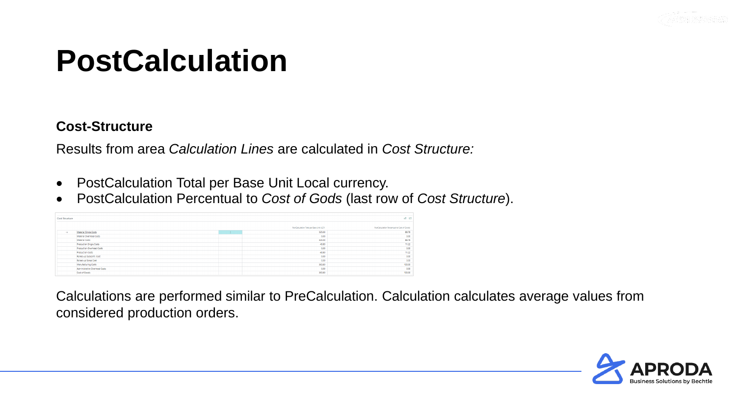

#### **Cost-Structure**

Results from area *Calculation Lines* are calculated in *Cost Structure:*

- PostCalculation Total per Base Unit Local currency.
- PostCalculation Percentual to *Cost of Gods* (last row of *Cost Structure*).

| <b>Cost Structure</b> |                               |                    |                                           | 16 図                                        |
|-----------------------|-------------------------------|--------------------|-------------------------------------------|---------------------------------------------|
|                       |                               |                    | PostCalculation Total per Base Unit (LCY) | PostCalculation Percentual to Cost of Goods |
| $\rightarrow$         | Material Single Costs         | <b>START START</b> | 323,00                                    | 88.78                                       |
|                       | Material Overhead Costs       |                    | 0.00                                      | 0.00                                        |
|                       | Material Costs                |                    | 323.00                                    | 88.78                                       |
|                       | Production Single Costs       |                    | 40.80                                     | 11.22                                       |
|                       | Production Overhead Costs     |                    | 0.00                                      | 0.00                                        |
|                       | Production Costs              |                    | 40.80                                     | 11.22                                       |
|                       | Rolled-up Subcontr. Cost      |                    | 0.00                                      | 0.00                                        |
|                       | Rolled-up Scrap Cost          |                    | 0.00                                      | 0.00                                        |
|                       | Manufacturing Costs           |                    | 363.80                                    | 100.00                                      |
|                       | Administrative Overhead Costs |                    | 0.00                                      | 0.00                                        |
|                       | Cost of Goods                 |                    | 363.80                                    | 100.00                                      |

Calculations are performed similar to PreCalculation. Calculation calculates average values from considered production orders.